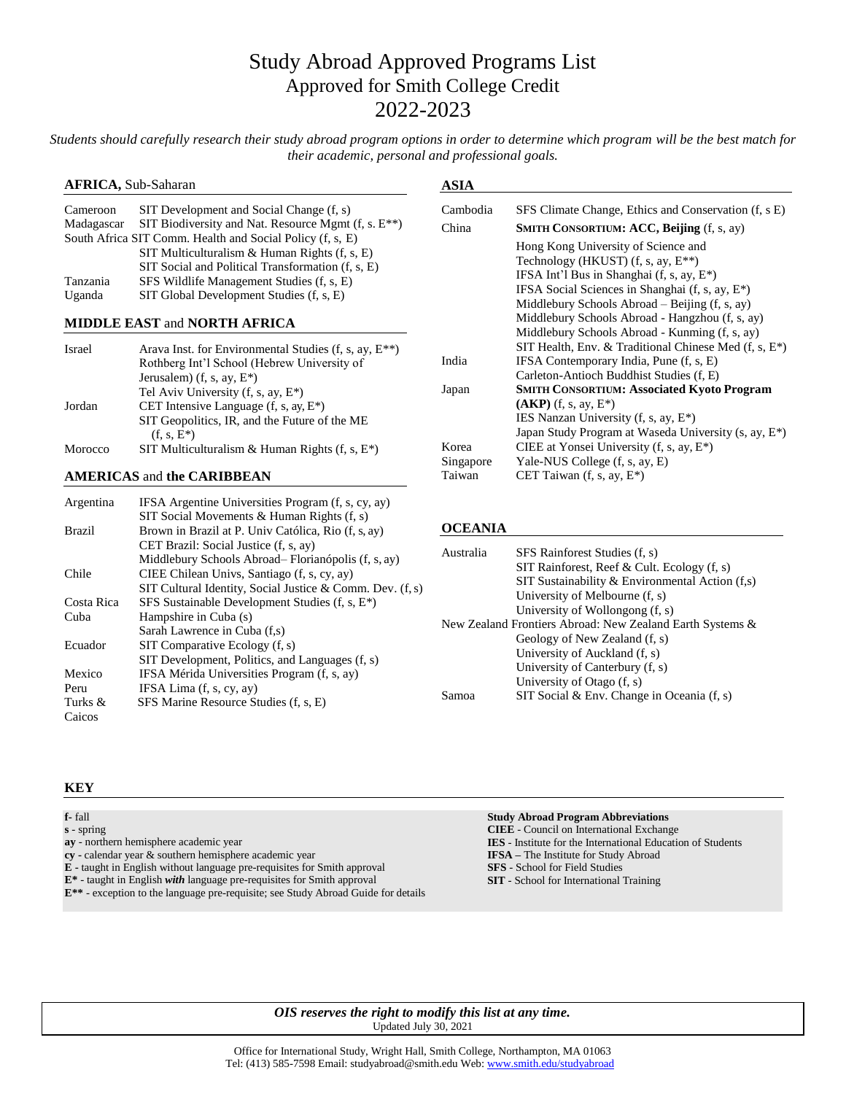# Study Abroad Approved Programs List Approved for Smith College Credit 2022-2023

*Students should carefully research their study abroad program options in order to determine which program will be the best match for their academic, personal and professional goals.*

## **AFRICA,** Sub-Saharan

| Cameroon                                                  | SIT Development and Social Change (f, s)                 |  |
|-----------------------------------------------------------|----------------------------------------------------------|--|
| Madagascar                                                | SIT Biodiversity and Nat. Resource Mgmt $(f, s, E^{**})$ |  |
| South Africa SIT Comm. Health and Social Policy (f, s, E) |                                                          |  |
|                                                           | SIT Multiculturalism & Human Rights $(f, s, E)$          |  |
|                                                           | SIT Social and Political Transformation (f, s, E)        |  |
| Tanzania                                                  | SFS Wildlife Management Studies (f, s, E)                |  |
| Uganda                                                    | SIT Global Development Studies (f, s, E)                 |  |

## **MIDDLE EAST** and **NORTH AFRICA**

| <b>Israel</b> | Arava Inst. for Environmental Studies $(f, s, ay, E^{**})$     |
|---------------|----------------------------------------------------------------|
|               | Rothberg Int'l School (Hebrew University of                    |
|               | Jerusalem) (f, s, ay, $E^*$ )                                  |
|               | Tel Aviv University (f, s, ay, E*)                             |
| Jordan        | CET Intensive Language $(f, s, ay, E^*)$                       |
|               | SIT Geopolitics, IR, and the Future of the ME<br>$(f, s, E^*)$ |
| Morocco       | SIT Multiculturalism & Human Rights $(f, s, E^*)$              |

# **AMERICAS** and **the CARIBBEAN**

| Argentina     | IFSA Argentine Universities Program (f, s, cy, ay)          |
|---------------|-------------------------------------------------------------|
|               | SIT Social Movements & Human Rights $(f, s)$                |
| <b>Brazil</b> | Brown in Brazil at P. Univ Católica, Rio (f, s, ay)         |
|               | CET Brazil: Social Justice (f, s, ay)                       |
|               | Middlebury Schools Abroad– Florianópolis (f, s, ay)         |
| Chile         | CIEE Chilean Univs, Santiago (f, s, cy, ay)                 |
|               | SIT Cultural Identity, Social Justice & Comm. Dev. $(f, s)$ |
| Costa Rica    | SFS Sustainable Development Studies (f, s, E <sup>*</sup> ) |
| Cuba          | Hampshire in Cuba (s)                                       |
|               | Sarah Lawrence in Cuba (f,s)                                |
| Ecuador       | SIT Comparative Ecology $(f, s)$                            |
|               | SIT Development, Politics, and Languages (f, s)             |
| Mexico        | IFSA Mérida Universities Program (f, s, ay)                 |
| Peru          | IFSA Lima $(f, s, cy, av)$                                  |
| Turks &       | SFS Marine Resource Studies (f, s, E)                       |
| Caicos        |                                                             |

# **ASIA**

| Cambodia  | SFS Climate Change, Ethics and Conservation (f, s E)              |
|-----------|-------------------------------------------------------------------|
| China     | <b>SMITH CONSORTIUM: ACC, Beijing (f, s, ay)</b>                  |
|           | Hong Kong University of Science and                               |
|           | Technology (HKUST) (f, s, ay, $E^{**}$ )                          |
|           | IFSA Int'l Bus in Shanghai $(f, s, ay, E^*)$                      |
|           | IFSA Social Sciences in Shanghai (f, s, ay, E <sup>*</sup> )      |
|           | Middlebury Schools Abroad – Beijing $(f, s, ay)$                  |
|           | Middlebury Schools Abroad - Hangzhou (f, s, ay)                   |
|           | Middlebury Schools Abroad - Kunming (f, s, ay)                    |
|           | SIT Health, Env. & Traditional Chinese Med $(f, s, E^*)$          |
| India     | IFSA Contemporary India, Pune (f, s, E)                           |
|           | Carleton-Antioch Buddhist Studies (f, E)                          |
| Japan     | <b>SMITH CONSORTIUM: Associated Kyoto Program</b>                 |
|           | $(AKP)$ (f, s, ay, $E^*$ )                                        |
|           | IES Nanzan University (f, s, ay, E*)                              |
|           | Japan Study Program at Waseda University (s, ay, E <sup>*</sup> ) |
| Korea     | CIEE at Yonsei University $(f, s, ay, E^*)$                       |
| Singapore | Yale-NUS College (f, s, ay, E)                                    |
| Taiwan    | CET Taiwan (f, s, ay, E*)                                         |
|           |                                                                   |

### **OCEANIA**

| Australia                                                 | SFS Rainforest Studies (f, s)                     |
|-----------------------------------------------------------|---------------------------------------------------|
|                                                           | SIT Rainforest, Reef & Cult. Ecology (f, s)       |
|                                                           | SIT Sustainability & Environmental Action $(f,s)$ |
|                                                           | University of Melbourne (f, s)                    |
|                                                           | University of Wollongong $(f, s)$                 |
| New Zealand Frontiers Abroad: New Zealand Earth Systems & |                                                   |
|                                                           | Geology of New Zealand (f, s)                     |
|                                                           | University of Auckland (f, s)                     |
|                                                           | University of Canterbury (f, s)                   |
|                                                           | University of Otago (f, s)                        |
| Samoa                                                     | SIT Social & Env. Change in Oceania $(f, s)$      |

#### **KEY**

**f-** fall

**s** - spring

- **ay**  northern hemisphere academic year
- **cy -** calendar year & southern hemisphere academic year
- **E -** taught in English without language pre-requisites for Smith approval
- **E\***  taught in English *with* language pre-requisites for Smith approval
- **E\*\***  exception to the language pre-requisite; see Study Abroad Guide for details

# **Study Abroad Program Abbreviations**

**CIEE** - Council on International Exchange **IES** - Institute for the International Education of Students **IFSA –** The Institute for Study Abroad **SFS** - School for Field Studies **SIT** - School for International Training

*OIS reserves the right to modify this list at any time.* Updated July 30, 2021